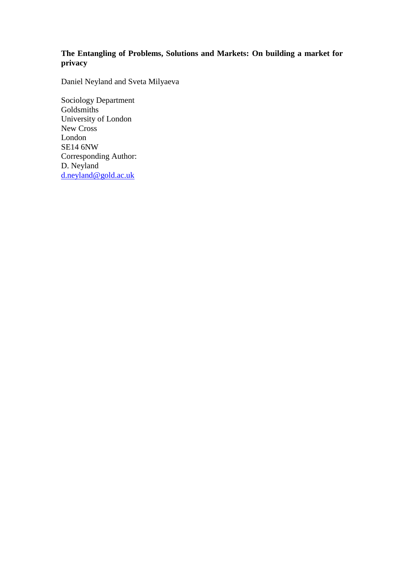# **The Entangling of Problems, Solutions and Markets: On building a market for privacy**

Daniel Neyland and Sveta Milyaeva

Sociology Department Goldsmiths University of London New Cross London SE14 6NW Corresponding Author: D. Neyland [d.neyland@gold.ac.uk](mailto:d.neyland@gold.ac.uk)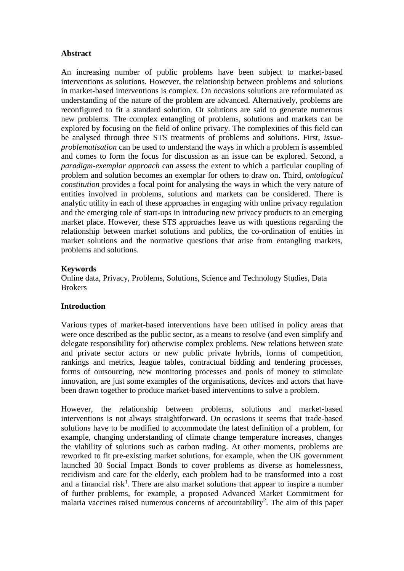## **Abstract**

An increasing number of public problems have been subject to market-based interventions as solutions. However, the relationship between problems and solutions in market-based interventions is complex. On occasions solutions are reformulated as understanding of the nature of the problem are advanced. Alternatively, problems are reconfigured to fit a standard solution. Or solutions are said to generate numerous new problems. The complex entangling of problems, solutions and markets can be explored by focusing on the field of online privacy. The complexities of this field can be analysed through three STS treatments of problems and solutions. First, *issueproblematisation* can be used to understand the ways in which a problem is assembled and comes to form the focus for discussion as an issue can be explored. Second, a *paradigm-exemplar approach* can assess the extent to which a particular coupling of problem and solution becomes an exemplar for others to draw on. Third, *ontological constitution* provides a focal point for analysing the ways in which the very nature of entities involved in problems, solutions and markets can be considered. There is analytic utility in each of these approaches in engaging with online privacy regulation and the emerging role of start-ups in introducing new privacy products to an emerging market place. However, these STS approaches leave us with questions regarding the relationship between market solutions and publics, the co-ordination of entities in market solutions and the normative questions that arise from entangling markets, problems and solutions.

## **Keywords**

Online data, Privacy, Problems, Solutions, Science and Technology Studies, Data **Brokers** 

# **Introduction**

Various types of market-based interventions have been utilised in policy areas that were once described as the public sector, as a means to resolve (and even simplify and delegate responsibility for) otherwise complex problems. New relations between state and private sector actors or new public private hybrids, forms of competition, rankings and metrics, league tables, contractual bidding and tendering processes, forms of outsourcing, new monitoring processes and pools of money to stimulate innovation, are just some examples of the organisations, devices and actors that have been drawn together to produce market-based interventions to solve a problem.

However, the relationship between problems, solutions and market-based interventions is not always straightforward. On occasions it seems that trade-based solutions have to be modified to accommodate the latest definition of a problem, for example, changing understanding of climate change temperature increases, changes the viability of solutions such as carbon trading. At other moments, problems are reworked to fit pre-existing market solutions, for example, when the UK government launched 30 Social Impact Bonds to cover problems as diverse as homelessness, recidivism and care for the elderly, each problem had to be transformed into a cost and a financial risk<sup>1</sup>. There are also market solutions that appear to inspire a number of further problems, for example, a proposed Advanced Market Commitment for malaria vaccines raised numerous concerns of accountability<sup>2</sup>. The aim of this paper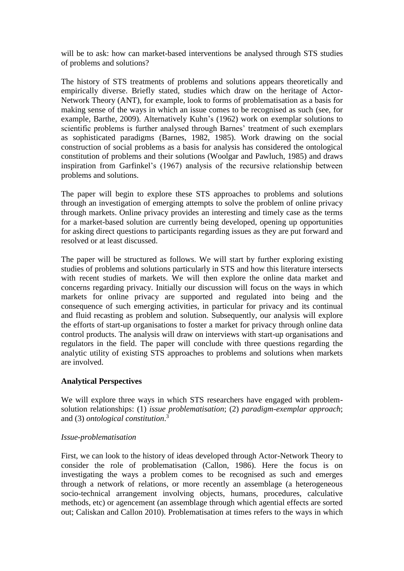will be to ask: how can market-based interventions be analysed through STS studies of problems and solutions?

The history of STS treatments of problems and solutions appears theoretically and empirically diverse. Briefly stated, studies which draw on the heritage of Actor-Network Theory (ANT), for example, look to forms of problematisation as a basis for making sense of the ways in which an issue comes to be recognised as such (see, for example, Barthe, 2009). Alternatively Kuhn's (1962) work on exemplar solutions to scientific problems is further analysed through Barnes' treatment of such exemplars as sophisticated paradigms (Barnes, 1982, 1985). Work drawing on the social construction of social problems as a basis for analysis has considered the ontological constitution of problems and their solutions (Woolgar and Pawluch, 1985) and draws inspiration from Garfinkel's (1967) analysis of the recursive relationship between problems and solutions.

The paper will begin to explore these STS approaches to problems and solutions through an investigation of emerging attempts to solve the problem of online privacy through markets. Online privacy provides an interesting and timely case as the terms for a market-based solution are currently being developed, opening up opportunities for asking direct questions to participants regarding issues as they are put forward and resolved or at least discussed.

The paper will be structured as follows. We will start by further exploring existing studies of problems and solutions particularly in STS and how this literature intersects with recent studies of markets. We will then explore the online data market and concerns regarding privacy. Initially our discussion will focus on the ways in which markets for online privacy are supported and regulated into being and the consequence of such emerging activities, in particular for privacy and its continual and fluid recasting as problem and solution. Subsequently, our analysis will explore the efforts of start-up organisations to foster a market for privacy through online data control products. The analysis will draw on interviews with start-up organisations and regulators in the field. The paper will conclude with three questions regarding the analytic utility of existing STS approaches to problems and solutions when markets are involved.

## **Analytical Perspectives**

We will explore three ways in which STS researchers have engaged with problemsolution relationships: (1) *issue problematisation*; (2) *paradigm-exemplar approach*; and (3) *ontological constitution*. 3

## *Issue-problematisation*

First, we can look to the history of ideas developed through Actor-Network Theory to consider the role of problematisation (Callon, 1986). Here the focus is on investigating the ways a problem comes to be recognised as such and emerges through a network of relations, or more recently an assemblage (a heterogeneous socio-technical arrangement involving objects, humans, procedures, calculative methods, etc) or agencement (an assemblage through which agential effects are sorted out; Caliskan and Callon 2010). Problematisation at times refers to the ways in which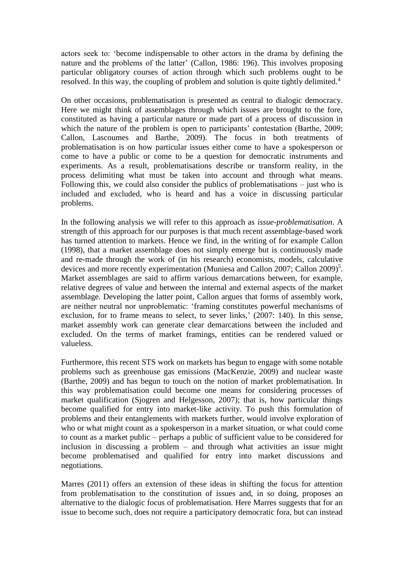actors seek to: 'become indispensable to other actors in the drama by defining the nature and the problems of the latter' (Callon, 1986: 196). This involves proposing particular obligatory courses of action through which such problems ought to be resolved. In this way, the coupling of problem and solution is quite tightly delimited.<sup>4</sup>

On other occasions, problematisation is presented as central to dialogic democracy. Here we might think of assemblages through which issues are brought to the fore, constituted as having a particular nature or made part of a process of discussion in which the nature of the problem is open to participants' contestation (Barthe, 2009; Callon, Lascoumes and Barthe, 2009). The focus in both treatments of problematisation is on how particular issues either come to have a spokesperson or come to have a public or come to be a question for democratic instruments and experiments. As a result, problematisations describe or transform reality, in the process delimiting what must be taken into account and through what means. Following this, we could also consider the publics of problematisations – just who is included and excluded, who is heard and has a voice in discussing particular problems.

In the following analysis we will refer to this approach as *issue-problematisation*. A strength of this approach for our purposes is that much recent assemblage-based work has turned attention to markets. Hence we find, in the writing of for example Callon (1998), that a market assemblage does not simply emerge but is continuously made and re-made through the work of (in his research) economists, models, calculative devices and more recently experimentation (Muniesa and Callon 2007; Callon 2009) 5 . Market assemblages are said to affirm various demarcations between, for example, relative degrees of value and between the internal and external aspects of the market assemblage. Developing the latter point, Callon argues that forms of assembly work, are neither neutral nor unproblematic: 'framing constitutes powerful mechanisms of exclusion, for to frame means to select, to sever links,' (2007: 140). In this sense, market assembly work can generate clear demarcations between the included and excluded. On the terms of market framings, entities can be rendered valued or valueless.

Furthermore, this recent STS work on markets has begun to engage with some notable problems such as greenhouse gas emissions (MacKenzie, 2009) and nuclear waste (Barthe, 2009) and has begun to touch on the notion of market problematisation. In this way problematisation could become one means for considering processes of market qualification (Sjogren and Helgesson, 2007); that is, how particular things become qualified for entry into market-like activity. To push this formulation of problems and their entanglements with markets further, would involve exploration of who or what might count as a spokesperson in a market situation, or what could come to count as a market public – perhaps a public of sufficient value to be considered for inclusion in discussing a problem – and through what activities an issue might become problematised and qualified for entry into market discussions and negotiations.

Marres (2011) offers an extension of these ideas in shifting the focus for attention from problematisation to the constitution of issues and, in so doing, proposes an alternative to the dialogic focus of problematisation. Here Marres suggests that for an issue to become such, does not require a participatory democratic fora, but can instead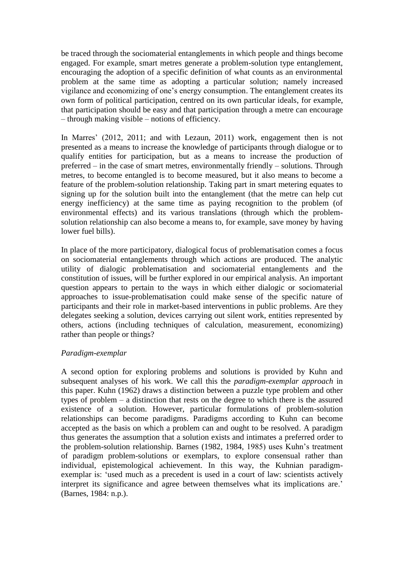be traced through the sociomaterial entanglements in which people and things become engaged. For example, smart metres generate a problem-solution type entanglement, encouraging the adoption of a specific definition of what counts as an environmental problem at the same time as adopting a particular solution; namely increased vigilance and economizing of one's energy consumption. The entanglement creates its own form of political participation, centred on its own particular ideals, for example, that participation should be easy and that participation through a metre can encourage – through making visible – notions of efficiency.

In Marres' (2012, 2011; and with Lezaun, 2011) work, engagement then is not presented as a means to increase the knowledge of participants through dialogue or to qualify entities for participation, but as a means to increase the production of preferred – in the case of smart metres, environmentally friendly – solutions. Through metres, to become entangled is to become measured, but it also means to become a feature of the problem-solution relationship. Taking part in smart metering equates to signing up for the solution built into the entanglement (that the metre can help cut energy inefficiency) at the same time as paying recognition to the problem (of environmental effects) and its various translations (through which the problemsolution relationship can also become a means to, for example, save money by having lower fuel bills).

In place of the more participatory, dialogical focus of problematisation comes a focus on sociomaterial entanglements through which actions are produced. The analytic utility of dialogic problematisation and sociomaterial entanglements and the constitution of issues, will be further explored in our empirical analysis. An important question appears to pertain to the ways in which either dialogic or sociomaterial approaches to issue-problematisation could make sense of the specific nature of participants and their role in market-based interventions in public problems. Are they delegates seeking a solution, devices carrying out silent work, entities represented by others, actions (including techniques of calculation, measurement, economizing) rather than people or things?

## *Paradigm-exemplar*

A second option for exploring problems and solutions is provided by Kuhn and subsequent analyses of his work. We call this the *paradigm-exemplar approach* in this paper. Kuhn (1962) draws a distinction between a puzzle type problem and other types of problem – a distinction that rests on the degree to which there is the assured existence of a solution. However, particular formulations of problem-solution relationships can become paradigms. Paradigms according to Kuhn can become accepted as the basis on which a problem can and ought to be resolved. A paradigm thus generates the assumption that a solution exists and intimates a preferred order to the problem-solution relationship. Barnes (1982, 1984, 1985) uses Kuhn's treatment of paradigm problem-solutions or exemplars, to explore consensual rather than individual, epistemological achievement. In this way, the Kuhnian paradigmexemplar is: 'used much as a precedent is used in a court of law: scientists actively interpret its significance and agree between themselves what its implications are.' (Barnes, 1984: n.p.).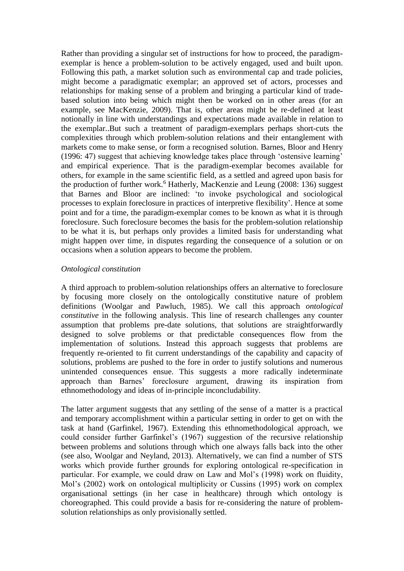Rather than providing a singular set of instructions for how to proceed, the paradigmexemplar is hence a problem-solution to be actively engaged, used and built upon. Following this path, a market solution such as environmental cap and trade policies, might become a paradigmatic exemplar; an approved set of actors, processes and relationships for making sense of a problem and bringing a particular kind of tradebased solution into being which might then be worked on in other areas (for an example, see MacKenzie, 2009). That is, other areas might be re-defined at least notionally in line with understandings and expectations made available in relation to the exemplar..But such a treatment of paradigm-exemplars perhaps short-cuts the complexities through which problem-solution relations and their entanglement with markets come to make sense, or form a recognised solution. Barnes, Bloor and Henry (1996: 47) suggest that achieving knowledge takes place through 'ostensive learning' and empirical experience. That is the paradigm-exemplar becomes available for others, for example in the same scientific field, as a settled and agreed upon basis for the production of further work.<sup>6</sup> Hatherly, MacKenzie and Leung (2008: 136) suggest that Barnes and Bloor are inclined: 'to invoke psychological and sociological processes to explain foreclosure in practices of interpretive flexibility'. Hence at some point and for a time, the paradigm-exemplar comes to be known as what it is through foreclosure. Such foreclosure becomes the basis for the problem-solution relationship to be what it is, but perhaps only provides a limited basis for understanding what might happen over time, in disputes regarding the consequence of a solution or on occasions when a solution appears to become the problem.

#### *Ontological constitution*

A third approach to problem-solution relationships offers an alternative to foreclosure by focusing more closely on the ontologically constitutive nature of problem definitions (Woolgar and Pawluch, 1985). We call this approach *ontological constitutive* in the following analysis. This line of research challenges any counter assumption that problems pre-date solutions, that solutions are straightforwardly designed to solve problems or that predictable consequences flow from the implementation of solutions. Instead this approach suggests that problems are frequently re-oriented to fit current understandings of the capability and capacity of solutions, problems are pushed to the fore in order to justify solutions and numerous unintended consequences ensue. This suggests a more radically indeterminate approach than Barnes' foreclosure argument, drawing its inspiration from ethnomethodology and ideas of in-principle inconcludability.

The latter argument suggests that any settling of the sense of a matter is a practical and temporary accomplishment within a particular setting in order to get on with the task at hand (Garfinkel, 1967). Extending this ethnomethodological approach, we could consider further Garfinkel's (1967) suggestion of the recursive relationship between problems and solutions through which one always falls back into the other (see also, Woolgar and Neyland, 2013). Alternatively, we can find a number of STS works which provide further grounds for exploring ontological re-specification in particular. For example, we could draw on Law and Mol's (1998) work on fluidity, Mol's (2002) work on ontological multiplicity or Cussins (1995) work on complex organisational settings (in her case in healthcare) through which ontology is choreographed. This could provide a basis for re-considering the nature of problemsolution relationships as only provisionally settled.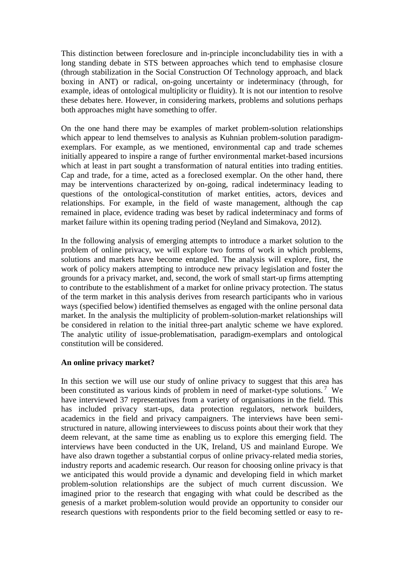This distinction between foreclosure and in-principle inconcludability ties in with a long standing debate in STS between approaches which tend to emphasise closure (through stabilization in the Social Construction Of Technology approach, and black boxing in ANT) or radical, on-going uncertainty or indeterminacy (through, for example, ideas of ontological multiplicity or fluidity). It is not our intention to resolve these debates here. However, in considering markets, problems and solutions perhaps both approaches might have something to offer.

On the one hand there may be examples of market problem-solution relationships which appear to lend themselves to analysis as Kuhnian problem-solution paradigmexemplars. For example, as we mentioned, environmental cap and trade schemes initially appeared to inspire a range of further environmental market-based incursions which at least in part sought a transformation of natural entities into trading entities. Cap and trade, for a time, acted as a foreclosed exemplar. On the other hand, there may be interventions characterized by on-going, radical indeterminacy leading to questions of the ontological-constitution of market entities, actors, devices and relationships. For example, in the field of waste management, although the cap remained in place, evidence trading was beset by radical indeterminacy and forms of market failure within its opening trading period (Neyland and Simakova, 2012).

In the following analysis of emerging attempts to introduce a market solution to the problem of online privacy, we will explore two forms of work in which problems, solutions and markets have become entangled. The analysis will explore, first, the work of policy makers attempting to introduce new privacy legislation and foster the grounds for a privacy market, and, second, the work of small start-up firms attempting to contribute to the establishment of a market for online privacy protection. The status of the term market in this analysis derives from research participants who in various ways (specified below) identified themselves as engaged with the online personal data market. In the analysis the multiplicity of problem-solution-market relationships will be considered in relation to the initial three-part analytic scheme we have explored. The analytic utility of issue-problematisation, paradigm-exemplars and ontological constitution will be considered.

## **An online privacy market?**

In this section we will use our study of online privacy to suggest that this area has been constituted as various kinds of problem in need of market-type solutions.<sup>7</sup> We have interviewed 37 representatives from a variety of organisations in the field. This has included privacy start-ups, data protection regulators, network builders, academics in the field and privacy campaigners. The interviews have been semistructured in nature, allowing interviewees to discuss points about their work that they deem relevant, at the same time as enabling us to explore this emerging field. The interviews have been conducted in the UK, Ireland, US and mainland Europe. We have also drawn together a substantial corpus of online privacy-related media stories, industry reports and academic research. Our reason for choosing online privacy is that we anticipated this would provide a dynamic and developing field in which market problem-solution relationships are the subject of much current discussion. We imagined prior to the research that engaging with what could be described as the genesis of a market problem-solution would provide an opportunity to consider our research questions with respondents prior to the field becoming settled or easy to re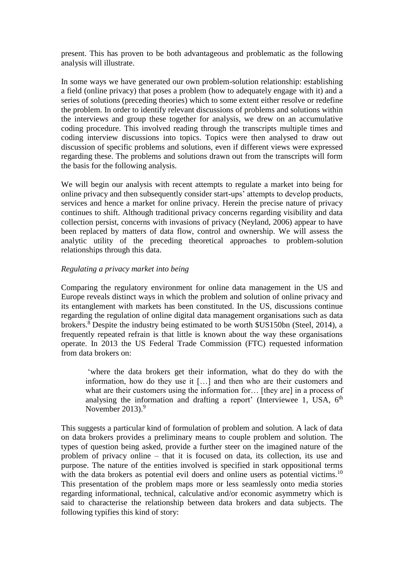present. This has proven to be both advantageous and problematic as the following analysis will illustrate.

In some ways we have generated our own problem-solution relationship: establishing a field (online privacy) that poses a problem (how to adequately engage with it) and a series of solutions (preceding theories) which to some extent either resolve or redefine the problem. In order to identify relevant discussions of problems and solutions within the interviews and group these together for analysis, we drew on an accumulative coding procedure. This involved reading through the transcripts multiple times and coding interview discussions into topics. Topics were then analysed to draw out discussion of specific problems and solutions, even if different views were expressed regarding these. The problems and solutions drawn out from the transcripts will form the basis for the following analysis.

We will begin our analysis with recent attempts to regulate a market into being for online privacy and then subsequently consider start-ups' attempts to develop products, services and hence a market for online privacy. Herein the precise nature of privacy continues to shift. Although traditional privacy concerns regarding visibility and data collection persist, concerns with invasions of privacy (Neyland, 2006) appear to have been replaced by matters of data flow, control and ownership. We will assess the analytic utility of the preceding theoretical approaches to problem-solution relationships through this data.

## *Regulating a privacy market into being*

Comparing the regulatory environment for online data management in the US and Europe reveals distinct ways in which the problem and solution of online privacy and its entanglement with markets has been constituted. In the US, discussions continue regarding the regulation of online digital data management organisations such as data brokers.<sup>8</sup> Despite the industry being estimated to be worth \$US150bn (Steel, 2014), a frequently repeated refrain is that little is known about the way these organisations operate. In 2013 the US Federal Trade Commission (FTC) requested information from data brokers on:

'where the data brokers get their information, what do they do with the information, how do they use it […] and then who are their customers and what are their customers using the information for... [they are] in a process of analysing the information and drafting a report' (Interviewee 1, USA, 6<sup>th</sup> November 2013).<sup>9</sup>

This suggests a particular kind of formulation of problem and solution. A lack of data on data brokers provides a preliminary means to couple problem and solution. The types of question being asked, provide a further steer on the imagined nature of the problem of privacy online – that it is focused on data, its collection, its use and purpose. The nature of the entities involved is specified in stark oppositional terms with the data brokers as potential evil doers and online users as potential victims.<sup>10</sup> This presentation of the problem maps more or less seamlessly onto media stories regarding informational, technical, calculative and/or economic asymmetry which is said to characterise the relationship between data brokers and data subjects. The following typifies this kind of story: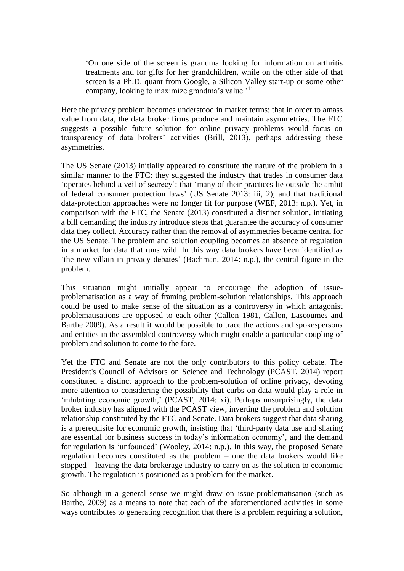'On one side of the screen is grandma looking for information on arthritis treatments and for gifts for her grandchildren, while on the other side of that screen is a Ph.D. quant from Google, a Silicon Valley start-up or some other company, looking to maximize grandma's value.'<sup>11</sup>

Here the privacy problem becomes understood in market terms; that in order to amass value from data, the data broker firms produce and maintain asymmetries. The FTC suggests a possible future solution for online privacy problems would focus on transparency of data brokers' activities (Brill, 2013), perhaps addressing these asymmetries.

The US Senate (2013) initially appeared to constitute the nature of the problem in a similar manner to the FTC: they suggested the industry that trades in consumer data 'operates behind a veil of secrecy'; that 'many of their practices lie outside the ambit of federal consumer protection laws' (US Senate 2013: iii, 2); and that traditional data-protection approaches were no longer fit for purpose (WEF, 2013: n.p.). Yet, in comparison with the FTC, the Senate (2013) constituted a distinct solution, initiating a bill demanding the industry introduce steps that guarantee the accuracy of consumer data they collect. Accuracy rather than the removal of asymmetries became central for the US Senate. The problem and solution coupling becomes an absence of regulation in a market for data that runs wild. In this way data brokers have been identified as 'the new villain in privacy debates' (Bachman, 2014: n.p.), the central figure in the problem.

This situation might initially appear to encourage the adoption of issueproblematisation as a way of framing problem-solution relationships. This approach could be used to make sense of the situation as a controversy in which antagonist problematisations are opposed to each other (Callon 1981, Callon, Lascoumes and Barthe 2009). As a result it would be possible to trace the actions and spokespersons and entities in the assembled controversy which might enable a particular coupling of problem and solution to come to the fore.

Yet the FTC and Senate are not the only contributors to this policy debate. The President's Council of Advisors on Science and Technology (PCAST, 2014) report constituted a distinct approach to the problem-solution of online privacy, devoting more attention to considering the possibility that curbs on data would play a role in 'inhibiting economic growth,' (PCAST, 2014: xi). Perhaps unsurprisingly, the data broker industry has aligned with the PCAST view, inverting the problem and solution relationship constituted by the FTC and Senate. Data brokers suggest that data sharing is a prerequisite for economic growth, insisting that 'third-party data use and sharing are essential for business success in today's information economy', and the demand for regulation is 'unfounded' (Wooley, 2014: n.p.). In this way, the proposed Senate regulation becomes constituted as the problem – one the data brokers would like stopped – leaving the data brokerage industry to carry on as the solution to economic growth. The regulation is positioned as a problem for the market.

So although in a general sense we might draw on issue-problematisation (such as Barthe, 2009) as a means to note that each of the aforementioned activities in some ways contributes to generating recognition that there is a problem requiring a solution,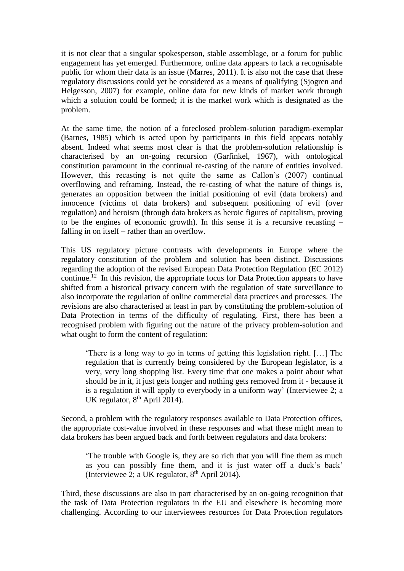it is not clear that a singular spokesperson, stable assemblage, or a forum for public engagement has yet emerged. Furthermore, online data appears to lack a recognisable public for whom their data is an issue (Marres, 2011). It is also not the case that these regulatory discussions could yet be considered as a means of qualifying (Sjogren and Helgesson, 2007) for example, online data for new kinds of market work through which a solution could be formed; it is the market work which is designated as the problem.

At the same time, the notion of a foreclosed problem-solution paradigm-exemplar (Barnes, 1985) which is acted upon by participants in this field appears notably absent. Indeed what seems most clear is that the problem-solution relationship is characterised by an on-going recursion (Garfinkel, 1967), with ontological constitution paramount in the continual re-casting of the nature of entities involved. However, this recasting is not quite the same as Callon's (2007) continual overflowing and reframing. Instead, the re-casting of what the nature of things is, generates an opposition between the initial positioning of evil (data brokers) and innocence (victims of data brokers) and subsequent positioning of evil (over regulation) and heroism (through data brokers as heroic figures of capitalism, proving to be the engines of economic growth). In this sense it is a recursive recasting – falling in on itself – rather than an overflow.

This US regulatory picture contrasts with developments in Europe where the regulatory constitution of the problem and solution has been distinct. Discussions regarding the adoption of the revised European Data Protection Regulation (EC 2012) continue.<sup>12</sup> In this revision, the appropriate focus for Data Protection appears to have shifted from a historical privacy concern with the regulation of state surveillance to also incorporate the regulation of online commercial data practices and processes. The revisions are also characterised at least in part by constituting the problem-solution of Data Protection in terms of the difficulty of regulating. First, there has been a recognised problem with figuring out the nature of the privacy problem-solution and what ought to form the content of regulation:

'There is a long way to go in terms of getting this legislation right. […] The regulation that is currently being considered by the European legislator, is a very, very long shopping list. Every time that one makes a point about what should be in it, it just gets longer and nothing gets removed from it - because it is a regulation it will apply to everybody in a uniform way' (Interviewee 2; a UK regulator, 8<sup>th</sup> April 2014).

Second, a problem with the regulatory responses available to Data Protection offices, the appropriate cost-value involved in these responses and what these might mean to data brokers has been argued back and forth between regulators and data brokers:

'The trouble with Google is, they are so rich that you will fine them as much as you can possibly fine them, and it is just water off a duck's back' (Interviewee 2; a UK regulator,  $8<sup>th</sup>$  April 2014).

Third, these discussions are also in part characterised by an on-going recognition that the task of Data Protection regulators in the EU and elsewhere is becoming more challenging. According to our interviewees resources for Data Protection regulators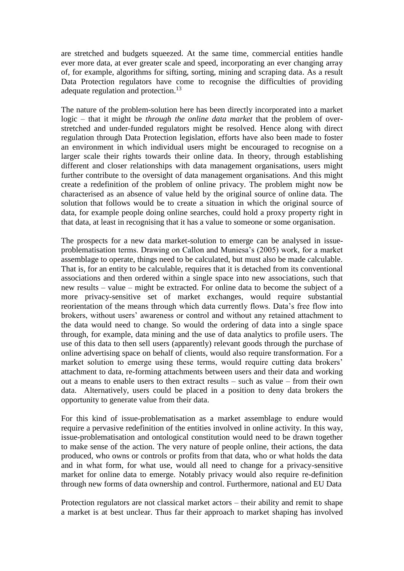are stretched and budgets squeezed. At the same time, commercial entities handle ever more data, at ever greater scale and speed, incorporating an ever changing array of, for example, algorithms for sifting, sorting, mining and scraping data. As a result Data Protection regulators have come to recognise the difficulties of providing adequate regulation and protection.<sup>13</sup>

The nature of the problem-solution here has been directly incorporated into a market logic – that it might be *through the online data market* that the problem of overstretched and under-funded regulators might be resolved. Hence along with direct regulation through Data Protection legislation, efforts have also been made to foster an environment in which individual users might be encouraged to recognise on a larger scale their rights towards their online data. In theory, through establishing different and closer relationships with data management organisations, users might further contribute to the oversight of data management organisations. And this might create a redefinition of the problem of online privacy. The problem might now be characterised as an absence of value held by the original source of online data. The solution that follows would be to create a situation in which the original source of data, for example people doing online searches, could hold a proxy property right in that data, at least in recognising that it has a value to someone or some organisation.

The prospects for a new data market-solution to emerge can be analysed in issueproblematisation terms. Drawing on Callon and Muniesa's (2005) work, for a market assemblage to operate, things need to be calculated, but must also be made calculable. That is, for an entity to be calculable, requires that it is detached from its conventional associations and then ordered within a single space into new associations, such that new results – value – might be extracted. For online data to become the subject of a more privacy-sensitive set of market exchanges, would require substantial reorientation of the means through which data currently flows. Data's free flow into brokers, without users' awareness or control and without any retained attachment to the data would need to change. So would the ordering of data into a single space through, for example, data mining and the use of data analytics to profile users. The use of this data to then sell users (apparently) relevant goods through the purchase of online advertising space on behalf of clients, would also require transformation. For a market solution to emerge using these terms, would require cutting data brokers' attachment to data, re-forming attachments between users and their data and working out a means to enable users to then extract results – such as value – from their own data. Alternatively, users could be placed in a position to deny data brokers the opportunity to generate value from their data.

For this kind of issue-problematisation as a market assemblage to endure would require a pervasive redefinition of the entities involved in online activity. In this way, issue-problematisation and ontological constitution would need to be drawn together to make sense of the action. The very nature of people online, their actions, the data produced, who owns or controls or profits from that data, who or what holds the data and in what form, for what use, would all need to change for a privacy-sensitive market for online data to emerge. Notably privacy would also require re-definition through new forms of data ownership and control. Furthermore, national and EU Data

Protection regulators are not classical market actors – their ability and remit to shape a market is at best unclear. Thus far their approach to market shaping has involved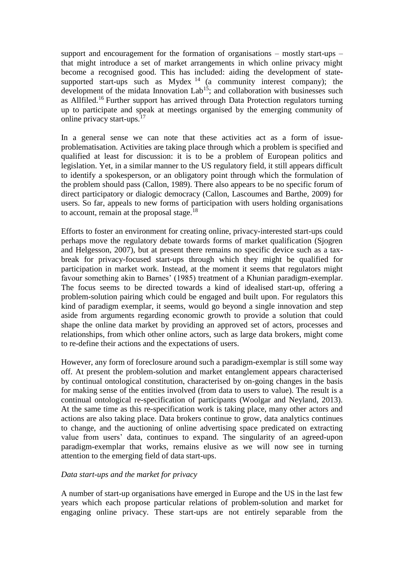support and encouragement for the formation of organisations – mostly start-ups – that might introduce a set of market arrangements in which online privacy might become a recognised good. This has included: aiding the development of statesupported start-ups such as Mydex  $14$  (a community interest company); the development of the midata Innovation Lab<sup>15</sup>; and collaboration with businesses such as Allfiled.<sup>16</sup> Further support has arrived through Data Protection regulators turning up to participate and speak at meetings organised by the emerging community of online privacy start-ups.<sup>17</sup>

In a general sense we can note that these activities act as a form of issueproblematisation. Activities are taking place through which a problem is specified and qualified at least for discussion: it is to be a problem of European politics and legislation. Yet, in a similar manner to the US regulatory field, it still appears difficult to identify a spokesperson, or an obligatory point through which the formulation of the problem should pass (Callon, 1989). There also appears to be no specific forum of direct participatory or dialogic democracy (Callon, Lascoumes and Barthe, 2009) for users. So far, appeals to new forms of participation with users holding organisations to account, remain at the proposal stage. $18$ 

Efforts to foster an environment for creating online, privacy-interested start-ups could perhaps move the regulatory debate towards forms of market qualification (Sjogren and Helgesson, 2007), but at present there remains no specific device such as a taxbreak for privacy-focused start-ups through which they might be qualified for participation in market work. Instead, at the moment it seems that regulators might favour something akin to Barnes' (1985) treatment of a Khunian paradigm-exemplar. The focus seems to be directed towards a kind of idealised start-up, offering a problem-solution pairing which could be engaged and built upon. For regulators this kind of paradigm exemplar, it seems, would go beyond a single innovation and step aside from arguments regarding economic growth to provide a solution that could shape the online data market by providing an approved set of actors, processes and relationships, from which other online actors, such as large data brokers, might come to re-define their actions and the expectations of users.

However, any form of foreclosure around such a paradigm-exemplar is still some way off. At present the problem-solution and market entanglement appears characterised by continual ontological constitution, characterised by on-going changes in the basis for making sense of the entities involved (from data to users to value). The result is a continual ontological re-specification of participants (Woolgar and Neyland, 2013). At the same time as this re-specification work is taking place, many other actors and actions are also taking place. Data brokers continue to grow, data analytics continues to change, and the auctioning of online advertising space predicated on extracting value from users' data, continues to expand. The singularity of an agreed-upon paradigm-exemplar that works, remains elusive as we will now see in turning attention to the emerging field of data start-ups.

## *Data start-ups and the market for privacy*

A number of start-up organisations have emerged in Europe and the US in the last few years which each propose particular relations of problem-solution and market for engaging online privacy. These start-ups are not entirely separable from the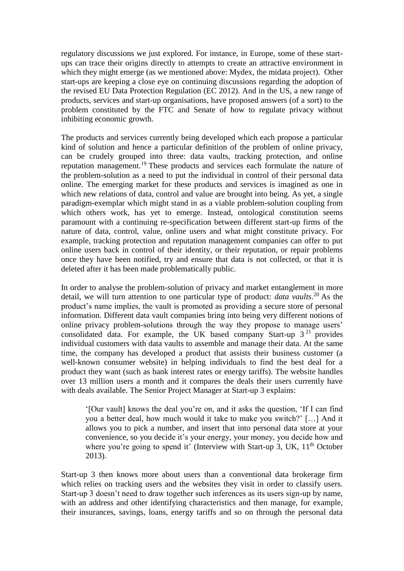regulatory discussions we just explored. For instance, in Europe, some of these startups can trace their origins directly to attempts to create an attractive environment in which they might emerge (as we mentioned above: Mydex, the midata project). Other start-ups are keeping a close eye on continuing discussions regarding the adoption of the revised EU Data Protection Regulation (EC 2012). And in the US, a new range of products, services and start-up organisations, have proposed answers (of a sort) to the problem constituted by the FTC and Senate of how to regulate privacy without inhibiting economic growth.

The products and services currently being developed which each propose a particular kind of solution and hence a particular definition of the problem of online privacy, can be crudely grouped into three: data vaults, tracking protection, and online reputation management.<sup>19</sup> These products and services each formulate the nature of the problem-solution as a need to put the individual in control of their personal data online. The emerging market for these products and services is imagined as one in which new relations of data, control and value are brought into being. As yet, a single paradigm-exemplar which might stand in as a viable problem-solution coupling from which others work, has yet to emerge. Instead, ontological constitution seems paramount with a continuing re-specification between different start-up firms of the nature of data, control, value, online users and what might constitute privacy. For example, tracking protection and reputation management companies can offer to put online users back in control of their identity, or their reputation, or repair problems once they have been notified, try and ensure that data is not collected, or that it is deleted after it has been made problematically public.

In order to analyse the problem-solution of privacy and market entanglement in more detail, we will turn attention to one particular type of product: *data vaults*. <sup>20</sup> As the product's name implies, the vault is promoted as providing a secure store of personal information. Different data vault companies bring into being very different notions of online privacy problem-solutions through the way they propose to manage users' consolidated data. For example, the UK based company Start-up  $3<sup>21</sup>$  provides individual customers with data vaults to assemble and manage their data. At the same time, the company has developed a product that assists their business customer (a well-known consumer website) in helping individuals to find the best deal for a product they want (such as bank interest rates or energy tariffs). The website handles over 13 million users a month and it compares the deals their users currently have with deals available. The Senior Project Manager at Start-up 3 explains:

'[Our vault] knows the deal you're on, and it asks the question, 'If I can find you a better deal, how much would it take to make you switch?' […] And it allows you to pick a number, and insert that into personal data store at your convenience, so you decide it's your energy, your money, you decide how and where you're going to spend it' (Interview with Start-up 3, UK,  $11<sup>th</sup>$  October 2013).

Start-up 3 then knows more about users than a conventional data brokerage firm which relies on tracking users and the websites they visit in order to classify users. Start-up 3 doesn't need to draw together such inferences as its users sign-up by name, with an address and other identifying characteristics and then manage, for example, their insurances, savings, loans, energy tariffs and so on through the personal data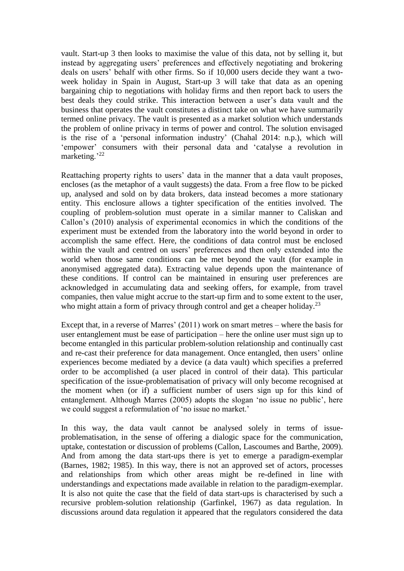vault. Start-up 3 then looks to maximise the value of this data, not by selling it, but instead by aggregating users' preferences and effectively negotiating and brokering deals on users' behalf with other firms. So if 10,000 users decide they want a twoweek holiday in Spain in August, Start-up 3 will take that data as an opening bargaining chip to negotiations with holiday firms and then report back to users the best deals they could strike. This interaction between a user's data vault and the business that operates the vault constitutes a distinct take on what we have summarily termed online privacy. The vault is presented as a market solution which understands the problem of online privacy in terms of power and control. The solution envisaged is the rise of a 'personal information industry' (Chahal 2014: n.p.), which will 'empower' consumers with their personal data and 'catalyse a revolution in marketing.<sup>'22</sup>

Reattaching property rights to users' data in the manner that a data vault proposes, encloses (as the metaphor of a vault suggests) the data. From a free flow to be picked up, analysed and sold on by data brokers, data instead becomes a more stationary entity. This enclosure allows a tighter specification of the entities involved. The coupling of problem-solution must operate in a similar manner to Caliskan and Callon's (2010) analysis of experimental economics in which the conditions of the experiment must be extended from the laboratory into the world beyond in order to accomplish the same effect. Here, the conditions of data control must be enclosed within the vault and centred on users' preferences and then only extended into the world when those same conditions can be met beyond the vault (for example in anonymised aggregated data). Extracting value depends upon the maintenance of these conditions. If control can be maintained in ensuring user preferences are acknowledged in accumulating data and seeking offers, for example, from travel companies, then value might accrue to the start-up firm and to some extent to the user, who might attain a form of privacy through control and get a cheaper holiday.<sup>23</sup>

Except that, in a reverse of Marres' (2011) work on smart metres – where the basis for user entanglement must be ease of participation – here the online user must sign up to become entangled in this particular problem-solution relationship and continually cast and re-cast their preference for data management. Once entangled, then users' online experiences become mediated by a device (a data vault) which specifies a preferred order to be accomplished (a user placed in control of their data). This particular specification of the issue-problematisation of privacy will only become recognised at the moment when (or if) a sufficient number of users sign up for this kind of entanglement. Although Marres (2005) adopts the slogan 'no issue no public', here we could suggest a reformulation of 'no issue no market.'

In this way, the data vault cannot be analysed solely in terms of issueproblematisation, in the sense of offering a dialogic space for the communication, uptake, contestation or discussion of problems (Callon, Lascoumes and Barthe, 2009). And from among the data start-ups there is yet to emerge a paradigm-exemplar (Barnes, 1982; 1985). In this way, there is not an approved set of actors, processes and relationships from which other areas might be re-defined in line with understandings and expectations made available in relation to the paradigm-exemplar. It is also not quite the case that the field of data start-ups is characterised by such a recursive problem-solution relationship (Garfinkel, 1967) as data regulation. In discussions around data regulation it appeared that the regulators considered the data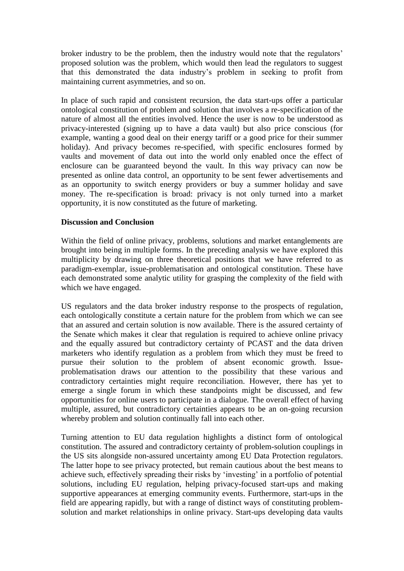broker industry to be the problem, then the industry would note that the regulators' proposed solution was the problem, which would then lead the regulators to suggest that this demonstrated the data industry's problem in seeking to profit from maintaining current asymmetries, and so on.

In place of such rapid and consistent recursion, the data start-ups offer a particular ontological constitution of problem and solution that involves a re-specification of the nature of almost all the entities involved. Hence the user is now to be understood as privacy-interested (signing up to have a data vault) but also price conscious (for example, wanting a good deal on their energy tariff or a good price for their summer holiday). And privacy becomes re-specified, with specific enclosures formed by vaults and movement of data out into the world only enabled once the effect of enclosure can be guaranteed beyond the vault. In this way privacy can now be presented as online data control, an opportunity to be sent fewer advertisements and as an opportunity to switch energy providers or buy a summer holiday and save money. The re-specification is broad: privacy is not only turned into a market opportunity, it is now constituted as the future of marketing.

## **Discussion and Conclusion**

Within the field of online privacy, problems, solutions and market entanglements are brought into being in multiple forms. In the preceding analysis we have explored this multiplicity by drawing on three theoretical positions that we have referred to as paradigm-exemplar, issue-problematisation and ontological constitution. These have each demonstrated some analytic utility for grasping the complexity of the field with which we have engaged.

US regulators and the data broker industry response to the prospects of regulation, each ontologically constitute a certain nature for the problem from which we can see that an assured and certain solution is now available. There is the assured certainty of the Senate which makes it clear that regulation is required to achieve online privacy and the equally assured but contradictory certainty of PCAST and the data driven marketers who identify regulation as a problem from which they must be freed to pursue their solution to the problem of absent economic growth. Issueproblematisation draws our attention to the possibility that these various and contradictory certainties might require reconciliation. However, there has yet to emerge a single forum in which these standpoints might be discussed, and few opportunities for online users to participate in a dialogue. The overall effect of having multiple, assured, but contradictory certainties appears to be an on-going recursion whereby problem and solution continually fall into each other.

Turning attention to EU data regulation highlights a distinct form of ontological constitution. The assured and contradictory certainty of problem-solution couplings in the US sits alongside non-assured uncertainty among EU Data Protection regulators. The latter hope to see privacy protected, but remain cautious about the best means to achieve such, effectively spreading their risks by 'investing' in a portfolio of potential solutions, including EU regulation, helping privacy-focused start-ups and making supportive appearances at emerging community events. Furthermore, start-ups in the field are appearing rapidly, but with a range of distinct ways of constituting problemsolution and market relationships in online privacy. Start-ups developing data vaults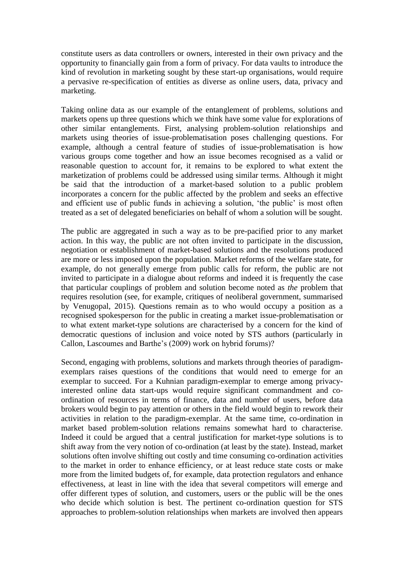constitute users as data controllers or owners, interested in their own privacy and the opportunity to financially gain from a form of privacy. For data vaults to introduce the kind of revolution in marketing sought by these start-up organisations, would require a pervasive re-specification of entities as diverse as online users, data, privacy and marketing.

Taking online data as our example of the entanglement of problems, solutions and markets opens up three questions which we think have some value for explorations of other similar entanglements. First, analysing problem-solution relationships and markets using theories of issue-problematisation poses challenging questions. For example, although a central feature of studies of issue-problematisation is how various groups come together and how an issue becomes recognised as a valid or reasonable question to account for, it remains to be explored to what extent the marketization of problems could be addressed using similar terms. Although it might be said that the introduction of a market-based solution to a public problem incorporates a concern for the public affected by the problem and seeks an effective and efficient use of public funds in achieving a solution, 'the public' is most often treated as a set of delegated beneficiaries on behalf of whom a solution will be sought.

The public are aggregated in such a way as to be pre-pacified prior to any market action. In this way, the public are not often invited to participate in the discussion, negotiation or establishment of market-based solutions and the resolutions produced are more or less imposed upon the population. Market reforms of the welfare state, for example, do not generally emerge from public calls for reform, the public are not invited to participate in a dialogue about reforms and indeed it is frequently the case that particular couplings of problem and solution become noted as *the* problem that requires resolution (see, for example, critiques of neoliberal government, summarised by Venugopal, 2015). Questions remain as to who would occupy a position as a recognised spokesperson for the public in creating a market issue-problematisation or to what extent market-type solutions are characterised by a concern for the kind of democratic questions of inclusion and voice noted by STS authors (particularly in Callon, Lascoumes and Barthe's (2009) work on hybrid forums)?

Second, engaging with problems, solutions and markets through theories of paradigmexemplars raises questions of the conditions that would need to emerge for an exemplar to succeed. For a Kuhnian paradigm-exemplar to emerge among privacyinterested online data start-ups would require significant commandment and coordination of resources in terms of finance, data and number of users, before data brokers would begin to pay attention or others in the field would begin to rework their activities in relation to the paradigm-exemplar. At the same time, co-ordination in market based problem-solution relations remains somewhat hard to characterise. Indeed it could be argued that a central justification for market-type solutions is to shift away from the very notion of co-ordination (at least by the state). Instead, market solutions often involve shifting out costly and time consuming co-ordination activities to the market in order to enhance efficiency, or at least reduce state costs or make more from the limited budgets of, for example, data protection regulators and enhance effectiveness, at least in line with the idea that several competitors will emerge and offer different types of solution, and customers, users or the public will be the ones who decide which solution is best. The pertinent co-ordination question for STS approaches to problem-solution relationships when markets are involved then appears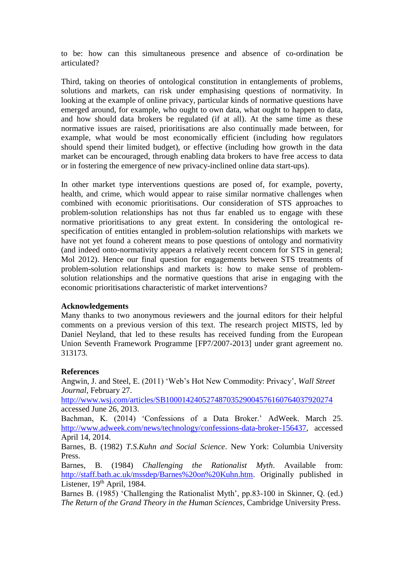to be: how can this simultaneous presence and absence of co-ordination be articulated?

Third, taking on theories of ontological constitution in entanglements of problems, solutions and markets, can risk under emphasising questions of normativity. In looking at the example of online privacy, particular kinds of normative questions have emerged around, for example, who ought to own data, what ought to happen to data, and how should data brokers be regulated (if at all). At the same time as these normative issues are raised, prioritisations are also continually made between, for example, what would be most economically efficient (including how regulators should spend their limited budget), or effective (including how growth in the data market can be encouraged, through enabling data brokers to have free access to data or in fostering the emergence of new privacy-inclined online data start-ups).

In other market type interventions questions are posed of, for example, poverty, health, and crime, which would appear to raise similar normative challenges when combined with economic prioritisations. Our consideration of STS approaches to problem-solution relationships has not thus far enabled us to engage with these normative prioritisations to any great extent. In considering the ontological respecification of entities entangled in problem-solution relationships with markets we have not yet found a coherent means to pose questions of ontology and normativity (and indeed onto-normativity appears a relatively recent concern for STS in general; Mol 2012). Hence our final question for engagements between STS treatments of problem-solution relationships and markets is: how to make sense of problemsolution relationships and the normative questions that arise in engaging with the economic prioritisations characteristic of market interventions?

## **Acknowledgements**

Many thanks to two anonymous reviewers and the journal editors for their helpful comments on a previous version of this text. The research project MISTS, led by Daniel Neyland, that led to these results has received funding from the European Union Seventh Framework Programme [FP7/2007-2013] under grant agreement no. 313173.

#### **References**

Angwin, J. and Steel, E. (2011) 'Web's Hot New Commodity: Privacy', *Wall Street Journal,* February 27.

<http://www.wsj.com/articles/SB10001424052748703529004576160764037920274> accessed June 26, 2013.

Bachman, K. (2014) 'Confessions of a Data Broker.' AdWeek. March 25. [http://www.adweek.com/news/technology/confessions-data-broker-156437,](http://www.adweek.com/news/technology/confessions-data-broker-156437) accessed April 14, 2014.

Barnes, B. (1982) *T.S.Kuhn and Social Science*. New York: Columbia University Press.

Barnes, B. (1984) *Challenging the Rationalist Myth*. Available from: [http://staff.bath.ac.uk/mssdep/Barnes%20on%20Kuhn.htm.](http://staff.bath.ac.uk/mssdep/Barnes%20on%20Kuhn.htm) Originally published in Listener, 19<sup>th</sup> April, 1984.

Barnes B. (1985) 'Challenging the Rationalist Myth', pp.83-100 in Skinner, Q. (ed.) *The Return of the Grand Theory in the Human Sciences*, Cambridge University Press.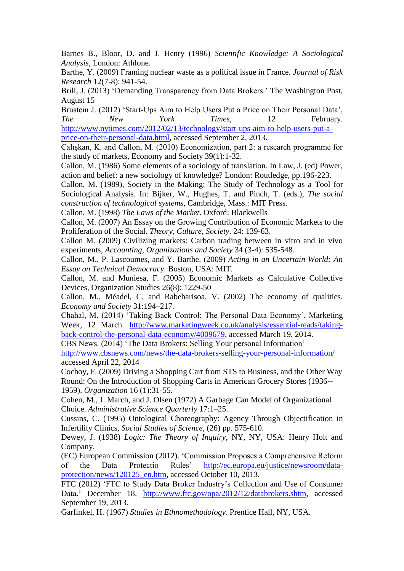Barnes B., Bloor, D. and J. Henry (1996) *Scientific Knowledge: A Sociological Analysis*, London: Athlone.

Barthe, Y. (2009) Framing nuclear waste as a political issue in France. *Journal of Risk Research* 12(7-8): 941-54.

Brill, J. (2013) 'Demanding Transparency from Data Brokers.' The Washington Post, August 15

Brustein J. (2012) 'Start-Ups Aim to Help Users Put a Price on Their Personal Data', *The New York Times*, 12 February. [http://www.nytimes.com/2012/02/13/technology/start-ups-aim-to-help-users-put-a](http://www.nytimes.com/2012/02/13/technology/start-ups-aim-to-help-users-put-a-price-on-their-personal-data.html)[price-on-their-personal-data.html,](http://www.nytimes.com/2012/02/13/technology/start-ups-aim-to-help-users-put-a-price-on-their-personal-data.html) accessed September 2, 2013.

Çalışkan, K. and Callon, M. (2010) Economization, part 2: a research programme for the study of markets, Economy and Society 39(1):1-32.

Callon, M. (1986) Some elements of a sociology of translation. In Law, J. (ed) Power, action and belief: a new sociology of knowledge? London: Routledge, pp.196-223.

Callon, M. (1989), Society in the Making: The Study of Technology as a Tool for Sociological Analysis. In: Bijker, W., Hughes, T. and Pinch, T. (eds.), *The social construction of technological systems*, Cambridge, Mass.: MIT Press.

Callon, M. (1998) *The Laws of the Market*. Oxford: Blackwells

Callon, M. (2007) An Essay on the Growing Contribution of Economic Markets to the Proliferation of the Social. *Theory, Culture, Society*. 24: 139-63.

Callon M. (2009) Civilizing markets: Carbon trading between in vitro and in vivo experiments, *Accounting, Organizations and Society* 34 (3-4): 535-548.

Callon, M., P. Lascoumes, and Y. Barthe. (2009) *Acting in an Uncertain World: An Essay on Technical Democracy*. Boston, USA: MIT.

Callon, M. and Muniesa, F. (2005) Economic Markets as Calculative Collective Devices, Organization Studies 26(8): 1229-50

Callon, M., Méadel, C. and Rabeharisoa, V. (2002) The economy of qualities. *Economy and Society* 31:194–217.

Chahal, M. (2014) 'Taking Back Control: The Personal Data Economy', Marketing Week, 12 March. [http://www.marketingweek.co.uk/analysis/essential-reads/taking](http://www.marketingweek.co.uk/analysis/essential-reads/taking-back-control-the-personal-data-economy/4009679)[back-control-the-personal-data-economy/4009679,](http://www.marketingweek.co.uk/analysis/essential-reads/taking-back-control-the-personal-data-economy/4009679) accessed March 19, 2014.

CBS News. (2014) 'The Data Brokers: Selling Your personal Information'

<http://www.cbsnews.com/news/the-data-brokers-selling-your-personal-information/> accessed April 22, 2014

Cochoy, F. (2009) Driving a Shopping Cart from STS to Business, and the Other Way Round: On the Introduction of Shopping Carts in American Grocery Stores (1936-- 1959). *Organization* 16 (1):31-55.

Cohen, M., J. March, and J. Olsen (1972) A Garbage Can Model of Organizational Choice. *Administrative Science Quarterly* 17:1–25.

Cussins, C. (1995) Ontological Choreography: Agency Through Objectification in Infertility Clinics, *Social Studies of Science*, (26) pp. 575-610.

Dewey, J. (1938) *Logic: The Theory of Inquiry*, NY, NY, USA: Henry Holt and Company.

(EC) European Commission (2012). 'Commission Proposes a Comprehensive Reform of the Data Protectio Rules' [http://ec.europa.eu/justice/newsroom/data](http://ec.europa.eu/justice/newsroom/data-protection/news/120125_en.htm)[protection/news/120125\\_en.htm,](http://ec.europa.eu/justice/newsroom/data-protection/news/120125_en.htm) accessed October 10, 2013.

FTC (2012) 'FTC to Study Data Broker Industry's Collection and Use of Consumer Data.' December 18. [http://www.ftc.gov/opa/2012/12/databrokers.shtm,](http://www.ftc.gov/opa/2012/12/databrokers.shtm) accessed September 19, 2013.

Garfinkel, H. (1967) *Studies in Ethnomethodology*. Prentice Hall, NY, USA.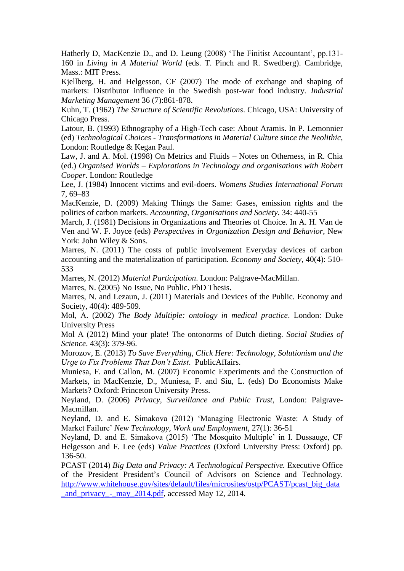Hatherly D, MacKenzie D., and D. Leung (2008) 'The Finitist Accountant', pp.131- 160 in *Living in A Material World* (eds. T. Pinch and R. Swedberg). Cambridge, Mass.: MIT Press.

Kjellberg, H. and Helgesson, CF (2007) The mode of exchange and shaping of markets: Distributor influence in the Swedish post-war food industry. *Industrial Marketing Management* 36 (7):861-878.

Kuhn, T. (1962) *The Structure of Scientific Revolutions*. Chicago, USA: University of Chicago Press.

Latour, B. (1993) Ethnography of a High-Tech case: About Aramis. In P. Lemonnier (ed) *Technological Choices - Transformations in Material Culture since the Neolithic*, London: Routledge & Kegan Paul.

Law, J. and A. Mol. (1998) On Metrics and Fluids – Notes on Otherness, in R. Chia (ed.) *Organised Worlds – Explorations in Technology and organisations with Robert Cooper*. London: Routledge

Lee, J. (1984) Innocent victims and evil-doers. *Womens Studies International Forum* 7, 69–83

MacKenzie, D. (2009) Making Things the Same: Gases, emission rights and the politics of carbon markets. *Accounting, Organisations and Society*. 34: 440-55

March, J. (1981) Decisions in Organizations and Theories of Choice. In A. H. Van de Ven and W. F. Joyce (eds) *Perspectives in Organization Design and Behavior*, New York: John Wiley & Sons.

Marres, N. (2011) The costs of public involvement Everyday devices of carbon accounting and the materialization of participation. *Economy and Society*, 40(4): 510- 533

Marres, N. (2012) *Material Participation*. London: Palgrave-MacMillan.

Marres, N. (2005) No Issue, No Public. PhD Thesis.

Marres, N. and Lezaun, J. (2011) Materials and Devices of the Public. Economy and Society, 40(4): 489-509.

Mol, A. (2002) *The Body Multiple: ontology in medical practice*. London: Duke University Press

Mol A (2012) Mind your plate! The ontonorms of Dutch dieting. *Social Studies of Science*. 43(3): 379-96.

Morozov, E. (2013) *To Save Everything, Click Here: Technology, Solutionism and the Urge to Fix Problems That Don't Exist*. PublicAffairs.

Muniesa, F. and Callon, M. (2007) Economic Experiments and the Construction of Markets, in MacKenzie, D., Muniesa, F. and Siu, L. (eds) Do Economists Make Markets? Oxford: Princeton University Press.

Neyland, D. (2006) *Privacy, Surveillance and Public Trust*, London: Palgrave-Macmillan.

Neyland, D. and E. Simakova (2012) 'Managing Electronic Waste: A Study of Market Failure' *New Technology, Work and Employment*, 27(1): 36-51

Neyland, D. and E. Simakova (2015) 'The Mosquito Multiple' in I. Dussauge, CF Helgesson and F. Lee (eds) *Value Practices* (Oxford University Press: Oxford) pp. 136-50.

PCAST (2014) *Big Data and Privacy: A Technological Perspective.* Executive Office of the President President's Council of Advisors on Science and Technology. [http://www.whitehouse.gov/sites/default/files/microsites/ostp/PCAST/pcast\\_big\\_data](http://www.whitehouse.gov/sites/default/files/microsites/ostp/PCAST/pcast_big_data_and_privacy_-_may_2014.pdf) [\\_and\\_privacy\\_-\\_may\\_2014.pdf,](http://www.whitehouse.gov/sites/default/files/microsites/ostp/PCAST/pcast_big_data_and_privacy_-_may_2014.pdf) accessed May 12, 2014.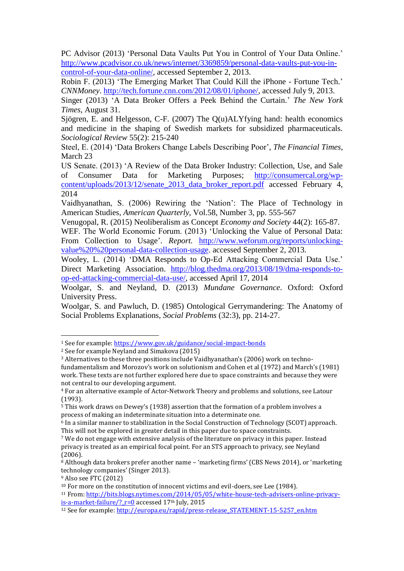PC Advisor (2013) 'Personal Data Vaults Put You in Control of Your Data Online.' [http://www.pcadvisor.co.uk/news/internet/3369859/personal-data-vaults-put-you-in](http://www.pcadvisor.co.uk/news/internet/3369859/personal-data-vaults-put-you-in-control-of-your-data-online/)[control-of-your-data-online/,](http://www.pcadvisor.co.uk/news/internet/3369859/personal-data-vaults-put-you-in-control-of-your-data-online/) accessed September 2, 2013.

Robin F. (2013) 'The Emerging Market That Could Kill the iPhone - Fortune Tech.' *CNNMoney*. [http://tech.fortune.cnn.com/2012/08/01/iphone/,](http://tech.fortune.cnn.com/2012/08/01/iphone/) accessed July 9, 2013.

Singer (2013) 'A Data Broker Offers a Peek Behind the Curtain.' *The New York Times*, August 31.

Sjögren, E. and Helgesson, C-F. (2007) The Q(u)ALYfying hand: health economics and medicine in the shaping of Swedish markets for subsidized pharmaceuticals. *Sociological Review* 55(2): 215-240

Steel, E. (2014) 'Data Brokers Change Labels Describing Poor', *The Financial Times*, March 23

US Senate. (2013) 'A Review of the Data Broker Industry: Collection, Use, and Sale of Consumer Data for Marketing Purposes; [http://consumercal.org/wp](http://consumercal.org/wp-content/uploads/2013/12/senate_2013_data_broker_report.pdf)[content/uploads/2013/12/senate\\_2013\\_data\\_broker\\_report.pdf](http://consumercal.org/wp-content/uploads/2013/12/senate_2013_data_broker_report.pdf) accessed February 4, 2014

Vaidhyanathan, S. (2006) Rewiring the 'Nation': The Place of Technology in American Studies, *American Quarterly*, Vol.58, Number 3, pp. 555-567

Venugopal, R. (2015) Neoliberalism as Concept *Economy and Society* 44(2): 165-87.

WEF. The World Economic Forum. (2013) 'Unlocking the Value of Personal Data: From Collection to Usage'. *Report.* [http://www.weforum.org/reports/unlocking](http://www.weforum.org/reports/unlocking-value%20%20personal-data-collection-usage)[value%20%20personal-data-collection-usage.](http://www.weforum.org/reports/unlocking-value%20%20personal-data-collection-usage) accessed September 2, 2013.

Wooley, L. (2014) 'DMA Responds to Op-Ed Attacking Commercial Data Use.' Direct Marketing Association. [http://blog.thedma.org/2013/08/19/dma-responds-to](http://blog.thedma.org/2013/08/19/dma-responds-to-op-ed-attacking-commercial-data-use/)[op-ed-attacking-commercial-data-use/,](http://blog.thedma.org/2013/08/19/dma-responds-to-op-ed-attacking-commercial-data-use/) accessed April 17, 2014

Woolgar, S. and Pawluch, D. (1985) Ontological Gerrymandering: The Anatomy of Social Problems Explanations, *Social Problems* (32:3), pp. 214-27.

 $\overline{a}$ 

Woolgar, S. and Neyland, D. (2013) *Mundane Governance*. Oxford: Oxford University Press.

<sup>1</sup> See for example:<https://www.gov.uk/guidance/social-impact-bonds>

<sup>2</sup> See for example Neyland and Simakova (2015)

<sup>3</sup> Alternatives to these three positions include Vaidhyanathan's (2006) work on technofundamentalism and Morozov's work on solutionism and Cohen et al (1972) and March's (1981) work. These texts are not further explored here due to space constraints and because they were not central to our developing argument.

<sup>4</sup> For an alternative example of Actor-Network Theory and problems and solutions, see Latour (1993).

 $5$  This work draws on Dewey's (1938) assertion that the formation of a problem involves a process of making an indeterminate situation into a determinate one.

<sup>6</sup> In a similar manner to stabilization in the Social Construction of Technology (SCOT) approach. This will not be explored in greater detail in this paper due to space constraints.

<sup>7</sup> We do not engage with extensive analysis of the literature on privacy in this paper. Instead privacy is treated as an empirical focal point. For an STS approach to privacy, see Neyland (2006).

<sup>8</sup> Although data brokers prefer another name – 'marketing firms' (CBS News 2014), or 'marketing technology companies' (Singer 2013).

<sup>9</sup> Also see FTC (2012)

<sup>&</sup>lt;sup>10</sup> For more on the constitution of innocent victims and evil-doers, see Lee (1984).

<sup>11</sup> From[: http://bits.blogs.nytimes.com/2014/05/05/white-house-tech-advisers-online-privacy](http://bits.blogs.nytimes.com/2014/05/05/white-house-tech-advisers-online-privacy-is-a-market-failure/?_r=0)is-a-market-failure/?  $r=0$  accessed 17<sup>th</sup> July, 2015

<sup>&</sup>lt;sup>12</sup> See for example: [http://europa.eu/rapid/press-release\\_STATEMENT-15-5257\\_en.htm](http://europa.eu/rapid/press-release_STATEMENT-15-5257_en.htm)